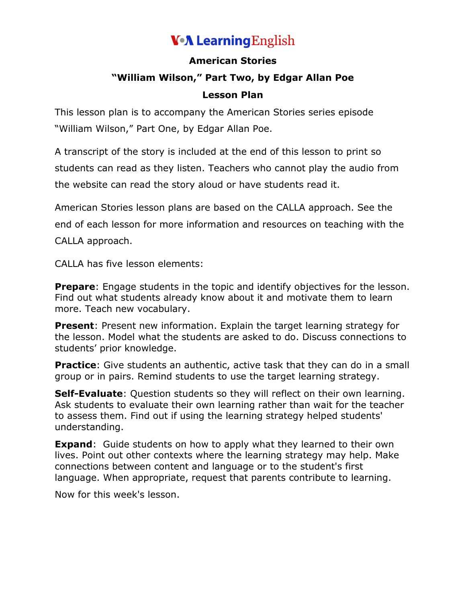# **V-A Learning English**

#### **American Stories**

## **"William Wilson," Part Two, by Edgar Allan Poe Lesson Plan**

This lesson plan is to accompany the American Stories series episode "William Wilson," Part One, by Edgar Allan Poe.

A transcript of the story is included at the end of this lesson to print so students can read as they listen. Teachers who cannot play the audio from the website can read the story aloud or have students read it.

American Stories lesson plans are based on the CALLA approach. See the end of each lesson for more information and resources on teaching with the CALLA approach.

CALLA has five lesson elements:

**Prepare:** Engage students in the topic and identify objectives for the lesson. Find out what students already know about it and motivate them to learn more. Teach new vocabulary.

**Present:** Present new information. Explain the target learning strategy for the lesson. Model what the students are asked to do. Discuss connections to students' prior knowledge.

**Practice**: Give students an authentic, active task that they can do in a small group or in pairs. Remind students to use the target learning strategy.

**Self-Evaluate**: Question students so they will reflect on their own learning. Ask students to evaluate their own learning rather than wait for the teacher to assess them. Find out if using the learning strategy helped students' understanding.

**Expand:** Guide students on how to apply what they learned to their own lives. Point out other contexts where the learning strategy may help. Make connections between content and language or to the student's first language. When appropriate, request that parents contribute to learning.

Now for this week's lesson.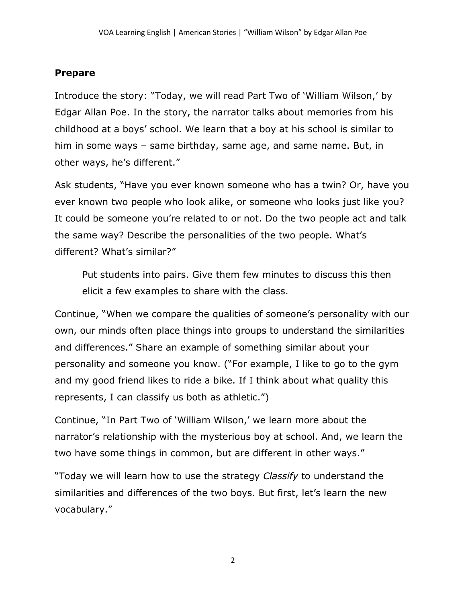#### **Prepare**

Introduce the story: "Today, we will read Part Two of 'William Wilson,' by Edgar Allan Poe. In the story, the narrator talks about memories from his childhood at a boys' school. We learn that a boy at his school is similar to him in some ways – same birthday, same age, and same name. But, in other ways, he's different."

Ask students, "Have you ever known someone who has a twin? Or, have you ever known two people who look alike, or someone who looks just like you? It could be someone you're related to or not. Do the two people act and talk the same way? Describe the personalities of the two people. What's different? What's similar?"

Put students into pairs. Give them few minutes to discuss this then elicit a few examples to share with the class.

Continue, "When we compare the qualities of someone's personality with our own, our minds often place things into groups to understand the similarities and differences." Share an example of something similar about your personality and someone you know. ("For example, I like to go to the gym and my good friend likes to ride a bike. If I think about what quality this represents, I can classify us both as athletic.")

Continue, "In Part Two of 'William Wilson,' we learn more about the narrator's relationship with the mysterious boy at school. And, we learn the two have some things in common, but are different in other ways."

"Today we will learn how to use the strategy *Classify* to understand the similarities and differences of the two boys. But first, let's learn the new vocabulary."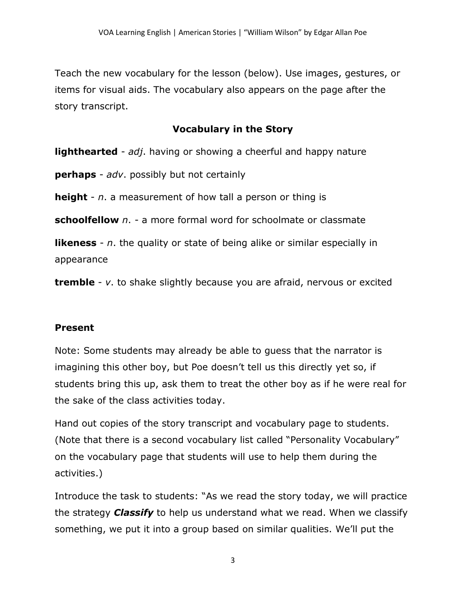Teach the new vocabulary for the lesson (below). Use images, gestures, or items for visual aids. The vocabulary also appears on the page after the story transcript.

#### **Vocabulary in the Story**

**lighthearted** - *adj*. having or showing a cheerful and happy nature

**perhaps** - *adv*. possibly but not certainly

**height** - *n*. a measurement of how tall a person or thing is

**schoolfellow** *n*. - a more formal word for schoolmate or classmate

**likeness** - *n*. the quality or state of being alike or similar especially in appearance

**tremble** - *v*. to shake slightly because you are afraid, nervous or excited

#### **Present**

Note: Some students may already be able to guess that the narrator is imagining this other boy, but Poe doesn't tell us this directly yet so, if students bring this up, ask them to treat the other boy as if he were real for the sake of the class activities today.

Hand out copies of the story transcript and vocabulary page to students. (Note that there is a second vocabulary list called "Personality Vocabulary" on the vocabulary page that students will use to help them during the activities.)

Introduce the task to students: "As we read the story today, we will practice the strategy *Classify* to help us understand what we read. When we classify something, we put it into a group based on similar qualities. We'll put the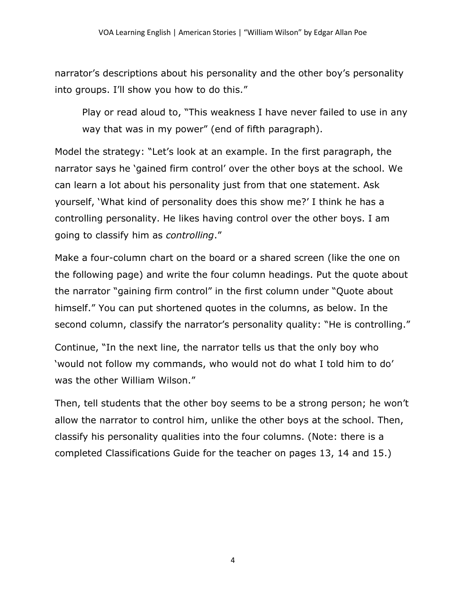narrator's descriptions about his personality and the other boy's personality into groups. I'll show you how to do this."

Play or read aloud to, "This weakness I have never failed to use in any way that was in my power" (end of fifth paragraph).

Model the strategy: "Let's look at an example. In the first paragraph, the narrator says he 'gained firm control' over the other boys at the school. We can learn a lot about his personality just from that one statement. Ask yourself, 'What kind of personality does this show me?' I think he has a controlling personality. He likes having control over the other boys. I am going to classify him as *controlling*."

Make a four-column chart on the board or a shared screen (like the one on the following page) and write the four column headings. Put the quote about the narrator "gaining firm control" in the first column under "Quote about himself." You can put shortened quotes in the columns, as below. In the second column, classify the narrator's personality quality: "He is controlling."

Continue, "In the next line, the narrator tells us that the only boy who 'would not follow my commands, who would not do what I told him to do' was the other William Wilson."

Then, tell students that the other boy seems to be a strong person; he won't allow the narrator to control him, unlike the other boys at the school. Then, classify his personality qualities into the four columns. (Note: there is a completed Classifications Guide for the teacher on pages 13, 14 and 15.)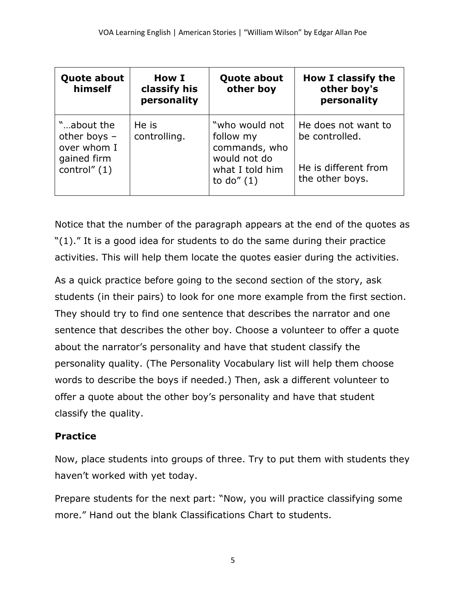| Quote about<br>himself                                                       | <b>How I</b><br>classify his<br>personality | Quote about<br>other boy                                                                         | <b>How I classify the</b><br>other boy's<br>personality                          |
|------------------------------------------------------------------------------|---------------------------------------------|--------------------------------------------------------------------------------------------------|----------------------------------------------------------------------------------|
| "about the<br>other boys $-$<br>over whom I<br>gained firm<br>control" $(1)$ | He is<br>controlling.                       | "who would not"<br>follow my<br>commands, who<br>would not do<br>what I told him<br>to do" $(1)$ | He does not want to<br>be controlled.<br>He is different from<br>the other boys. |

Notice that the number of the paragraph appears at the end of the quotes as "(1)." It is a good idea for students to do the same during their practice activities. This will help them locate the quotes easier during the activities.

As a quick practice before going to the second section of the story, ask students (in their pairs) to look for one more example from the first section. They should try to find one sentence that describes the narrator and one sentence that describes the other boy. Choose a volunteer to offer a quote about the narrator's personality and have that student classify the personality quality. (The Personality Vocabulary list will help them choose words to describe the boys if needed.) Then, ask a different volunteer to offer a quote about the other boy's personality and have that student classify the quality.

## **Practice**

Now, place students into groups of three. Try to put them with students they haven't worked with yet today.

Prepare students for the next part: "Now, you will practice classifying some more." Hand out the blank Classifications Chart to students.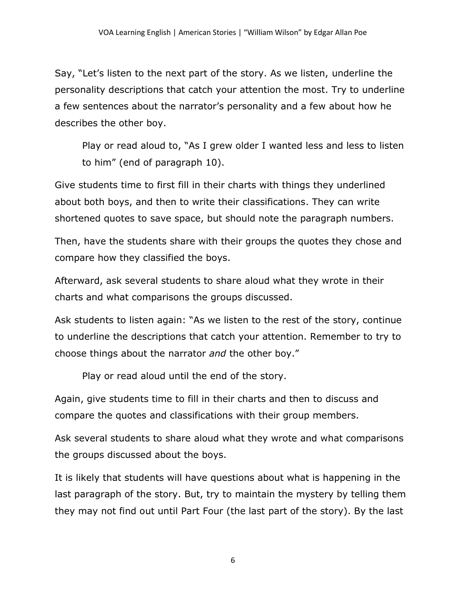Say, "Let's listen to the next part of the story. As we listen, underline the personality descriptions that catch your attention the most. Try to underline a few sentences about the narrator's personality and a few about how he describes the other boy.

Play or read aloud to, "As I grew older I wanted less and less to listen to him" (end of paragraph 10).

Give students time to first fill in their charts with things they underlined about both boys, and then to write their classifications. They can write shortened quotes to save space, but should note the paragraph numbers.

Then, have the students share with their groups the quotes they chose and compare how they classified the boys.

Afterward, ask several students to share aloud what they wrote in their charts and what comparisons the groups discussed.

Ask students to listen again: "As we listen to the rest of the story, continue to underline the descriptions that catch your attention. Remember to try to choose things about the narrator *and* the other boy."

Play or read aloud until the end of the story.

Again, give students time to fill in their charts and then to discuss and compare the quotes and classifications with their group members.

Ask several students to share aloud what they wrote and what comparisons the groups discussed about the boys.

It is likely that students will have questions about what is happening in the last paragraph of the story. But, try to maintain the mystery by telling them they may not find out until Part Four (the last part of the story). By the last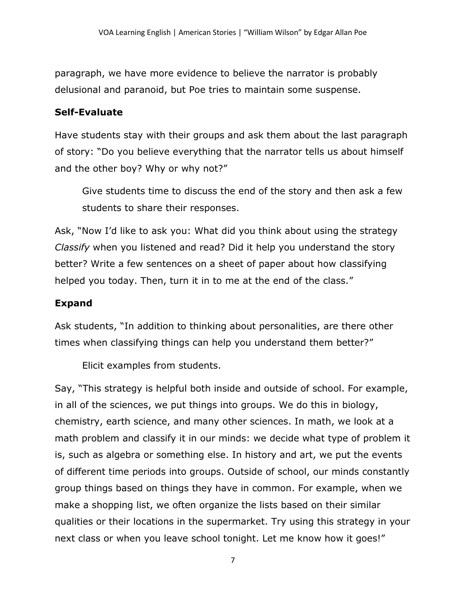paragraph, we have more evidence to believe the narrator is probably delusional and paranoid, but Poe tries to maintain some suspense.

### **Self-Evaluate**

Have students stay with their groups and ask them about the last paragraph of story: "Do you believe everything that the narrator tells us about himself and the other boy? Why or why not?"

Give students time to discuss the end of the story and then ask a few students to share their responses.

Ask, "Now I'd like to ask you: What did you think about using the strategy *Classify* when you listened and read? Did it help you understand the story better? Write a few sentences on a sheet of paper about how classifying helped you today. Then, turn it in to me at the end of the class."

### **Expand**

Ask students, "In addition to thinking about personalities, are there other times when classifying things can help you understand them better?"

Elicit examples from students.

Say, "This strategy is helpful both inside and outside of school. For example, in all of the sciences, we put things into groups. We do this in biology, chemistry, earth science, and many other sciences. In math, we look at a math problem and classify it in our minds: we decide what type of problem it is, such as algebra or something else. In history and art, we put the events of different time periods into groups. Outside of school, our minds constantly group things based on things they have in common. For example, when we make a shopping list, we often organize the lists based on their similar qualities or their locations in the supermarket. Try using this strategy in your next class or when you leave school tonight. Let me know how it goes!"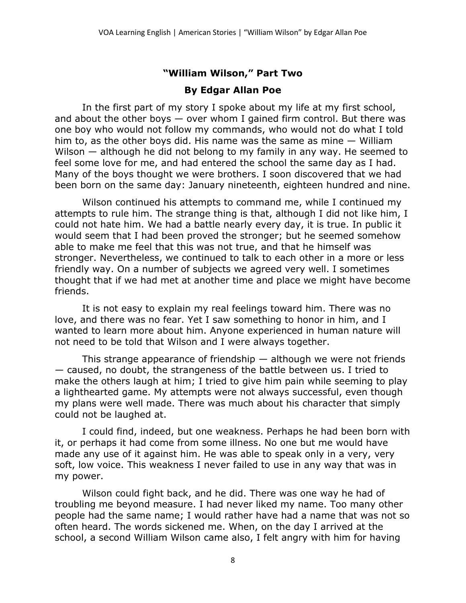#### **"William Wilson," Part Two**

#### **By Edgar Allan Poe**

In the first part of my story I spoke about my life at my first school, and about the other boys  $-$  over whom I gained firm control. But there was one boy who would not follow my commands, who would not do what I told him to, as the other boys did. His name was the same as mine  $-$  William Wilson — although he did not belong to my family in any way. He seemed to feel some love for me, and had entered the school the same day as I had. Many of the boys thought we were brothers. I soon discovered that we had been born on the same day: January nineteenth, eighteen hundred and nine.

Wilson continued his attempts to command me, while I continued my attempts to rule him. The strange thing is that, although I did not like him, I could not hate him. We had a battle nearly every day, it is true. In public it would seem that I had been proved the stronger; but he seemed somehow able to make me feel that this was not true, and that he himself was stronger. Nevertheless, we continued to talk to each other in a more or less friendly way. On a number of subjects we agreed very well. I sometimes thought that if we had met at another time and place we might have become friends.

It is not easy to explain my real feelings toward him. There was no love, and there was no fear. Yet I saw something to honor in him, and I wanted to learn more about him. Anyone experienced in human nature will not need to be told that Wilson and I were always together.

This strange appearance of friendship  $-$  although we were not friends — caused, no doubt, the strangeness of the battle between us. I tried to make the others laugh at him; I tried to give him pain while seeming to play a lighthearted game. My attempts were not always successful, even though my plans were well made. There was much about his character that simply could not be laughed at.

I could find, indeed, but one weakness. Perhaps he had been born with it, or perhaps it had come from some illness. No one but me would have made any use of it against him. He was able to speak only in a very, very soft, low voice. This weakness I never failed to use in any way that was in my power.

Wilson could fight back, and he did. There was one way he had of troubling me beyond measure. I had never liked my name. Too many other people had the same name; I would rather have had a name that was not so often heard. The words sickened me. When, on the day I arrived at the school, a second William Wilson came also, I felt angry with him for having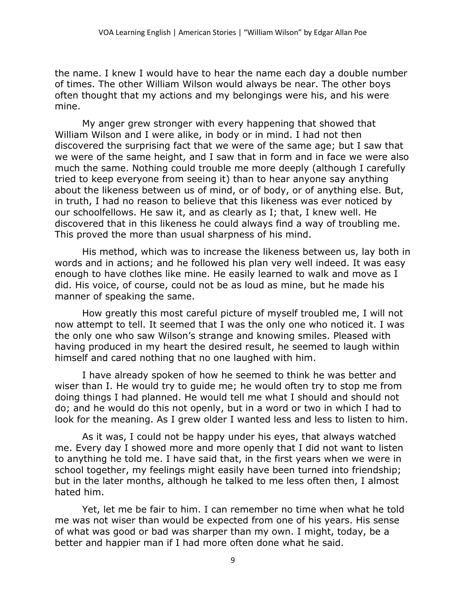the name. I knew I would have to hear the name each day a double number of times. The other William Wilson would always be near. The other boys often thought that my actions and my belongings were his, and his were mine.

My anger grew stronger with every happening that showed that William Wilson and I were alike, in body or in mind. I had not then discovered the surprising fact that we were of the same age; but I saw that we were of the same height, and I saw that in form and in face we were also much the same. Nothing could trouble me more deeply (although I carefully tried to keep everyone from seeing it) than to hear anyone say anything about the likeness between us of mind, or of body, or of anything else. But, in truth, I had no reason to believe that this likeness was ever noticed by our schoolfellows. He saw it, and as clearly as I; that, I knew well. He discovered that in this likeness he could always find a way of troubling me. This proved the more than usual sharpness of his mind.

His method, which was to increase the likeness between us, lay both in words and in actions; and he followed his plan very well indeed. It was easy enough to have clothes like mine. He easily learned to walk and move as I did. His voice, of course, could not be as loud as mine, but he made his manner of speaking the same.

How greatly this most careful picture of myself troubled me, I will not now attempt to tell. It seemed that I was the only one who noticed it. I was the only one who saw Wilson's strange and knowing smiles. Pleased with having produced in my heart the desired result, he seemed to laugh within himself and cared nothing that no one laughed with him.

I have already spoken of how he seemed to think he was better and wiser than I. He would try to guide me; he would often try to stop me from doing things I had planned. He would tell me what I should and should not do; and he would do this not openly, but in a word or two in which I had to look for the meaning. As I grew older I wanted less and less to listen to him.

As it was, I could not be happy under his eyes, that always watched me. Every day I showed more and more openly that I did not want to listen to anything he told me. I have said that, in the first years when we were in school together, my feelings might easily have been turned into friendship; but in the later months, although he talked to me less often then, I almost hated him.

Yet, let me be fair to him. I can remember no time when what he told me was not wiser than would be expected from one of his years. His sense of what was good or bad was sharper than my own. I might, today, be a better and happier man if I had more often done what he said.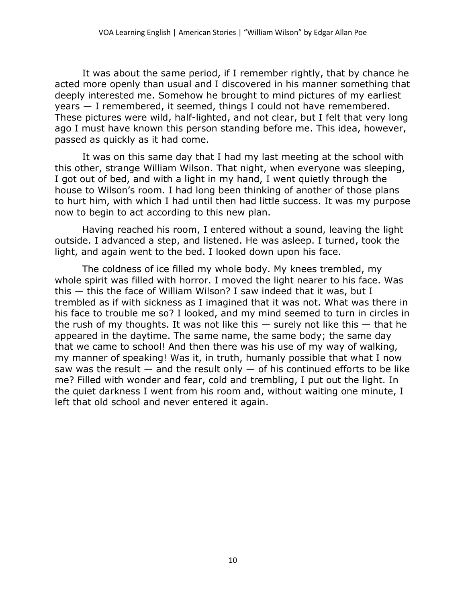It was about the same period, if I remember rightly, that by chance he acted more openly than usual and I discovered in his manner something that deeply interested me. Somehow he brought to mind pictures of my earliest years — I remembered, it seemed, things I could not have remembered. These pictures were wild, half-lighted, and not clear, but I felt that very long ago I must have known this person standing before me. This idea, however, passed as quickly as it had come.

It was on this same day that I had my last meeting at the school with this other, strange William Wilson. That night, when everyone was sleeping, I got out of bed, and with a light in my hand, I went quietly through the house to Wilson's room. I had long been thinking of another of those plans to hurt him, with which I had until then had little success. It was my purpose now to begin to act according to this new plan.

Having reached his room, I entered without a sound, leaving the light outside. I advanced a step, and listened. He was asleep. I turned, took the light, and again went to the bed. I looked down upon his face.

The coldness of ice filled my whole body. My knees trembled, my whole spirit was filled with horror. I moved the light nearer to his face. Was this — this the face of William Wilson? I saw indeed that it was, but I trembled as if with sickness as I imagined that it was not. What was there in his face to trouble me so? I looked, and my mind seemed to turn in circles in the rush of my thoughts. It was not like this  $-$  surely not like this  $-$  that he appeared in the daytime. The same name, the same body; the same day that we came to school! And then there was his use of my way of walking, my manner of speaking! Was it, in truth, humanly possible that what I now saw was the result  $-$  and the result only  $-$  of his continued efforts to be like me? Filled with wonder and fear, cold and trembling, I put out the light. In the quiet darkness I went from his room and, without waiting one minute, I left that old school and never entered it again.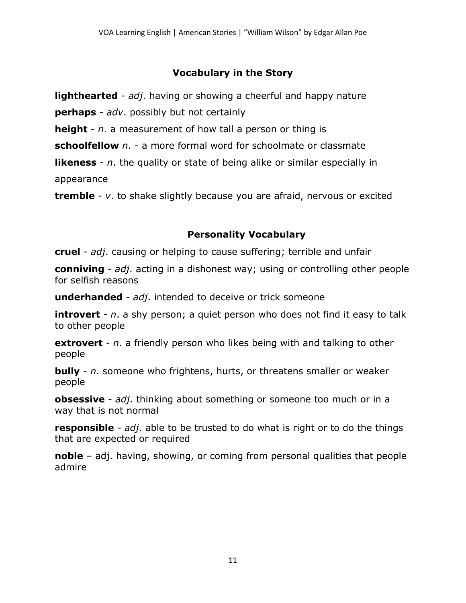## **Vocabulary in the Story**

**lighthearted** - *adj*. having or showing a cheerful and happy nature

**perhaps** - *adv*. possibly but not certainly

**height** - *n*. a measurement of how tall a person or thing is

**schoolfellow** *n*. - a more formal word for schoolmate or classmate

**likeness** - *n*. the quality or state of being alike or similar especially in appearance

**tremble** - *v*. to shake slightly because you are afraid, nervous or excited

## **Personality Vocabulary**

**cruel** - *adj*. causing or helping to cause suffering; terrible and unfair

**conniving** - *adj*. acting in a dishonest way; using or controlling other people for selfish reasons

**underhanded** - *adj*. intended to deceive or trick someone

**introvert** - *n*. a shy person; a quiet person who does not find it easy to talk to other people

**extrovert** - *n*. a friendly person who likes being with and talking to other people

**bully** - *n*. someone who frightens, hurts, or threatens smaller or weaker people

**obsessive** - *adj*. thinking about something or someone too much or in a way that is not normal

**responsible** - *adj*. able to be trusted to do what is right or to do the things that are expected or required

**noble** – adj. having, showing, or coming from personal qualities that people admire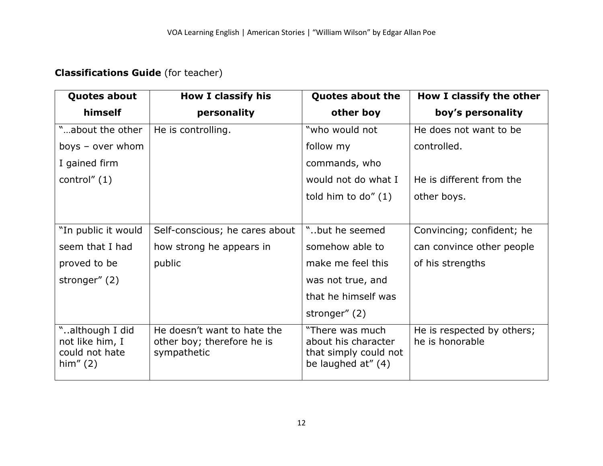## **Classifications Guide** (for teacher)

| Quotes about                                                       | <b>How I classify his</b>                                                | <b>Quotes about the</b>                                                               | How I classify the other                      |
|--------------------------------------------------------------------|--------------------------------------------------------------------------|---------------------------------------------------------------------------------------|-----------------------------------------------|
| himself                                                            | personality                                                              | other boy                                                                             | boy's personality                             |
| "about the other                                                   | He is controlling.                                                       | "who would not                                                                        | He does not want to be                        |
| boys - over whom                                                   |                                                                          | follow my                                                                             | controlled.                                   |
| I gained firm                                                      |                                                                          | commands, who                                                                         |                                               |
| control" $(1)$                                                     |                                                                          | would not do what I                                                                   | He is different from the                      |
|                                                                    |                                                                          | told him to do" $(1)$                                                                 | other boys.                                   |
|                                                                    |                                                                          |                                                                                       |                                               |
| "In public it would                                                | Self-conscious; he cares about                                           | "but he seemed                                                                        | Convincing; confident; he                     |
| seem that I had                                                    | how strong he appears in                                                 | somehow able to                                                                       | can convince other people                     |
| proved to be                                                       | public                                                                   | make me feel this                                                                     | of his strengths                              |
| stronger" (2)                                                      |                                                                          | was not true, and                                                                     |                                               |
|                                                                    |                                                                          | that he himself was                                                                   |                                               |
|                                                                    |                                                                          | stronger" (2)                                                                         |                                               |
| "although I did<br>not like him, I<br>could not hate<br>him" $(2)$ | He doesn't want to hate the<br>other boy; therefore he is<br>sympathetic | "There was much<br>about his character<br>that simply could not<br>be laughed at" (4) | He is respected by others;<br>he is honorable |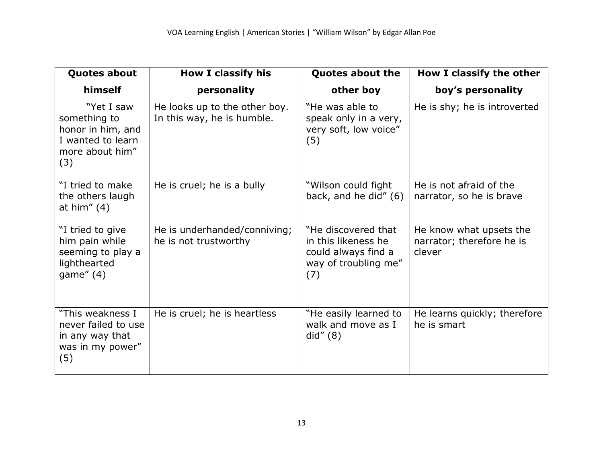| Quotes about                                                                                   | <b>How I classify his</b>                                   | <b>Quotes about the</b>                                                                          | How I classify the other                                       |
|------------------------------------------------------------------------------------------------|-------------------------------------------------------------|--------------------------------------------------------------------------------------------------|----------------------------------------------------------------|
| himself                                                                                        | personality                                                 | other boy                                                                                        | boy's personality                                              |
| "Yet I saw<br>something to<br>honor in him, and<br>I wanted to learn<br>more about him"<br>(3) | He looks up to the other boy.<br>In this way, he is humble. | "He was able to<br>speak only in a very,<br>very soft, low voice"<br>(5)                         | He is shy; he is introverted                                   |
| "I tried to make<br>the others laugh<br>at him" $(4)$                                          | He is cruel; he is a bully                                  | "Wilson could fight<br>back, and he did" (6)                                                     | He is not afraid of the<br>narrator, so he is brave            |
| "I tried to give<br>him pain while<br>seeming to play a<br>lighthearted<br>game" $(4)$         | He is underhanded/conniving;<br>he is not trustworthy       | "He discovered that<br>in this likeness he<br>could always find a<br>way of troubling me"<br>(7) | He know what upsets the<br>narrator; therefore he is<br>clever |
| "This weakness I<br>never failed to use<br>in any way that<br>was in my power"<br>(5)          | He is cruel; he is heartless                                | "He easily learned to<br>walk and move as I<br>did''(8)                                          | He learns quickly; therefore<br>he is smart                    |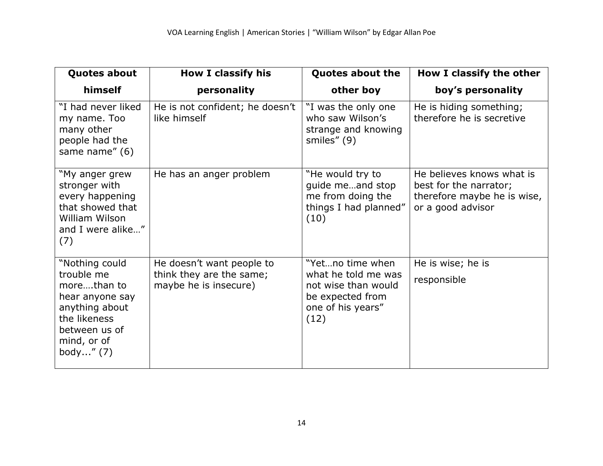| Quotes about                                                                                                                                    | <b>How I classify his</b>                                                      | <b>Quotes about the</b>                                                                                         | How I classify the other                                                                                |
|-------------------------------------------------------------------------------------------------------------------------------------------------|--------------------------------------------------------------------------------|-----------------------------------------------------------------------------------------------------------------|---------------------------------------------------------------------------------------------------------|
| himself                                                                                                                                         | personality                                                                    | other boy                                                                                                       | boy's personality                                                                                       |
| "I had never liked<br>my name. Too<br>many other<br>people had the<br>same name" (6)                                                            | He is not confident; he doesn't<br>like himself                                | "I was the only one<br>who saw Wilson's<br>strange and knowing<br>smiles" (9)                                   | He is hiding something;<br>therefore he is secretive                                                    |
| "My anger grew<br>stronger with<br>every happening<br>that showed that<br>William Wilson<br>and I were alike"<br>(7)                            | He has an anger problem                                                        | "He would try to<br>guide meand stop<br>me from doing the<br>things I had planned"<br>(10)                      | He believes knows what is<br>best for the narrator;<br>therefore maybe he is wise,<br>or a good advisor |
| "Nothing could<br>trouble me<br>morethan to<br>hear anyone say<br>anything about<br>the likeness<br>between us of<br>mind, or of<br>body" $(7)$ | He doesn't want people to<br>think they are the same;<br>maybe he is insecure) | "Yetno time when<br>what he told me was<br>not wise than would<br>be expected from<br>one of his years"<br>(12) | He is wise; he is<br>responsible                                                                        |
|                                                                                                                                                 |                                                                                |                                                                                                                 |                                                                                                         |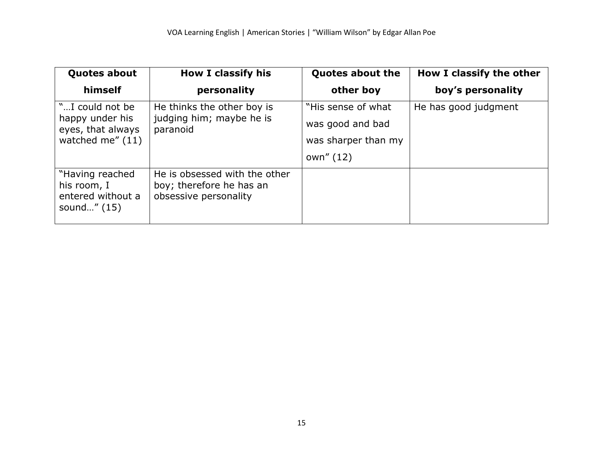| Quotes about                                                                  | <b>How I classify his</b>                                                          | <b>Quotes about the</b>                                                    | How I classify the other |
|-------------------------------------------------------------------------------|------------------------------------------------------------------------------------|----------------------------------------------------------------------------|--------------------------|
| himself                                                                       | personality                                                                        | other boy                                                                  | boy's personality        |
| "I could not be<br>happy under his<br>eyes, that always<br>watched me" $(11)$ | He thinks the other boy is<br>judging him; maybe he is<br>paranoid                 | "His sense of what<br>was good and bad<br>was sharper than my<br>own" (12) | He has good judgment     |
| "Having reached<br>his room, I<br>entered without a<br>sound" (15)            | He is obsessed with the other<br>boy; therefore he has an<br>obsessive personality |                                                                            |                          |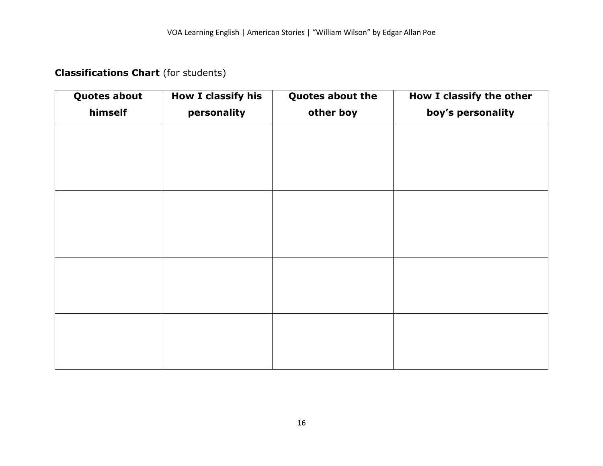## **Classifications Chart** (for students)

| <b>Quotes about</b> | <b>How I classify his</b> | Quotes about the | How I classify the other |
|---------------------|---------------------------|------------------|--------------------------|
| himself             | personality               | other boy        | boy's personality        |
|                     |                           |                  |                          |
|                     |                           |                  |                          |
|                     |                           |                  |                          |
|                     |                           |                  |                          |
|                     |                           |                  |                          |
|                     |                           |                  |                          |
|                     |                           |                  |                          |
|                     |                           |                  |                          |
|                     |                           |                  |                          |
|                     |                           |                  |                          |
|                     |                           |                  |                          |
|                     |                           |                  |                          |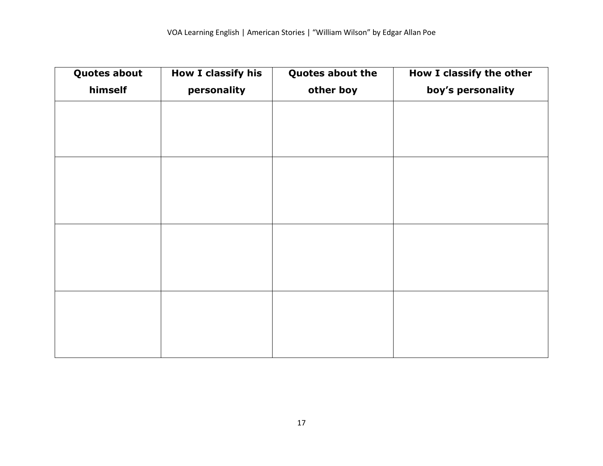| Quotes about | How I classify his | Quotes about the | How I classify the other |
|--------------|--------------------|------------------|--------------------------|
| himself      | personality        | other boy        | boy's personality        |
|              |                    |                  |                          |
|              |                    |                  |                          |
|              |                    |                  |                          |
|              |                    |                  |                          |
|              |                    |                  |                          |
|              |                    |                  |                          |
|              |                    |                  |                          |
|              |                    |                  |                          |
|              |                    |                  |                          |
|              |                    |                  |                          |
|              |                    |                  |                          |
|              |                    |                  |                          |
|              |                    |                  |                          |
|              |                    |                  |                          |
|              |                    |                  |                          |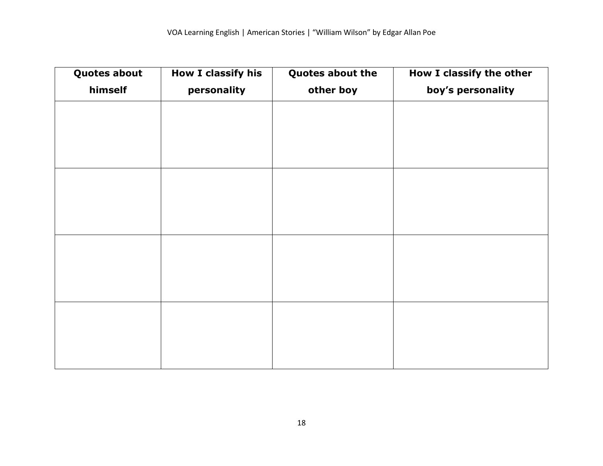| Quotes about<br>himself | How I classify his<br>personality | Quotes about the<br>other boy | How I classify the other<br>boy's personality |
|-------------------------|-----------------------------------|-------------------------------|-----------------------------------------------|
|                         |                                   |                               |                                               |
|                         |                                   |                               |                                               |
|                         |                                   |                               |                                               |
|                         |                                   |                               |                                               |
|                         |                                   |                               |                                               |
|                         |                                   |                               |                                               |
|                         |                                   |                               |                                               |
|                         |                                   |                               |                                               |
|                         |                                   |                               |                                               |
|                         |                                   |                               |                                               |
|                         |                                   |                               |                                               |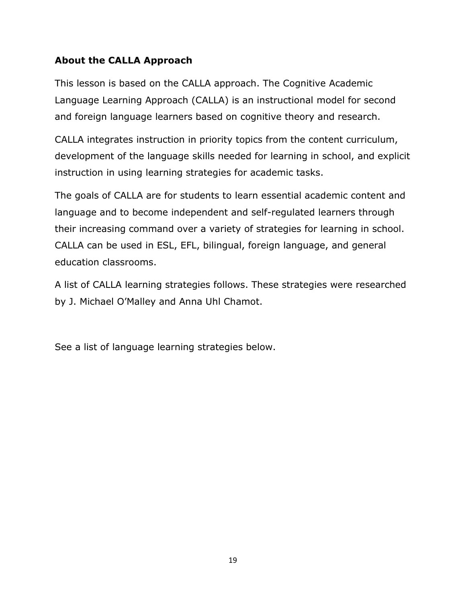### **About the CALLA Approach**

This lesson is based on the CALLA approach. The Cognitive Academic Language Learning Approach (CALLA) is an instructional model for second and foreign language learners based on cognitive theory and research.

CALLA integrates instruction in priority topics from the content curriculum, development of the language skills needed for learning in school, and explicit instruction in using learning strategies for academic tasks.

The goals of CALLA are for students to learn essential academic content and language and to become independent and self-regulated learners through their increasing command over a variety of strategies for learning in school. CALLA can be used in ESL, EFL, bilingual, foreign language, and general education classrooms.

A list of CALLA learning strategies follows. These strategies were researched by J. Michael O'Malley and Anna Uhl Chamot.

See a list of language learning strategies below.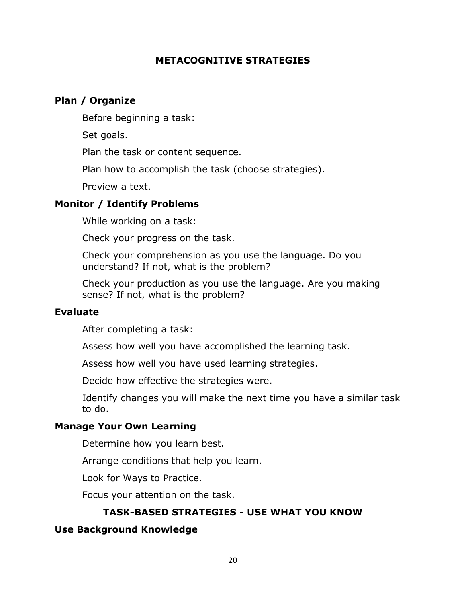#### **METACOGNITIVE STRATEGIES**

#### **Plan / Organize**

Before beginning a task:

Set goals.

Plan the task or content sequence.

Plan how to accomplish the task (choose strategies).

Preview a text.

#### **Monitor / Identify Problems**

While working on a task:

Check your progress on the task.

Check your comprehension as you use the language. Do you understand? If not, what is the problem?

Check your production as you use the language. Are you making sense? If not, what is the problem?

#### **Evaluate**

After completing a task:

Assess how well you have accomplished the learning task.

Assess how well you have used learning strategies.

Decide how effective the strategies were.

Identify changes you will make the next time you have a similar task to do.

#### **Manage Your Own Learning**

Determine how you learn best.

Arrange conditions that help you learn.

Look for Ways to Practice.

Focus your attention on the task.

## **TASK-BASED STRATEGIES - USE WHAT YOU KNOW**

#### **Use Background Knowledge**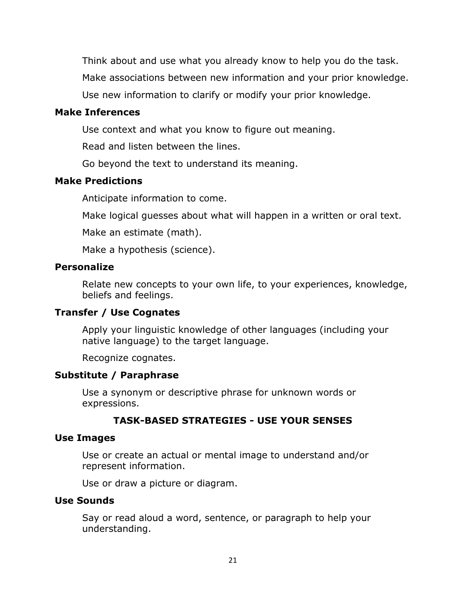Think about and use what you already know to help you do the task. Make associations between new information and your prior knowledge. Use new information to clarify or modify your prior knowledge.

#### **Make Inferences**

Use context and what you know to figure out meaning.

Read and listen between the lines.

Go beyond the text to understand its meaning.

#### **Make Predictions**

Anticipate information to come.

Make logical guesses about what will happen in a written or oral text.

Make an estimate (math).

Make a hypothesis (science).

#### **Personalize**

Relate new concepts to your own life, to your experiences, knowledge, beliefs and feelings.

#### **Transfer / Use Cognates**

Apply your linguistic knowledge of other languages (including your native language) to the target language.

Recognize cognates.

#### **Substitute / Paraphrase**

Use a synonym or descriptive phrase for unknown words or expressions.

#### **TASK-BASED STRATEGIES - USE YOUR SENSES**

#### **Use Images**

Use or create an actual or mental image to understand and/or represent information.

Use or draw a picture or diagram.

#### **Use Sounds**

Say or read aloud a word, sentence, or paragraph to help your understanding.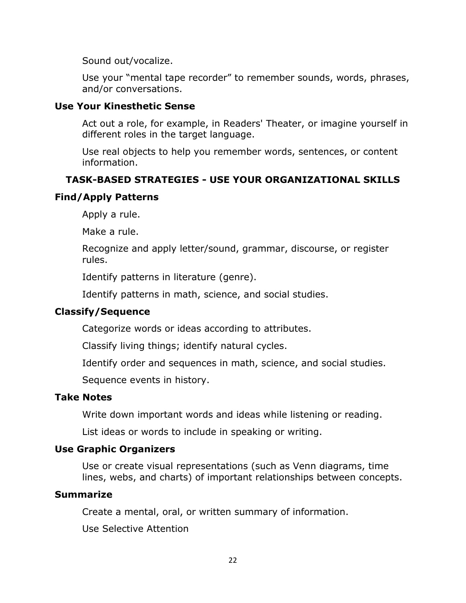Sound out/vocalize.

Use your "mental tape recorder" to remember sounds, words, phrases, and/or conversations.

#### **Use Your Kinesthetic Sense**

Act out a role, for example, in Readers' Theater, or imagine yourself in different roles in the target language.

Use real objects to help you remember words, sentences, or content information.

#### **TASK-BASED STRATEGIES - USE YOUR ORGANIZATIONAL SKILLS**

#### **Find/Apply Patterns**

Apply a rule.

Make a rule.

Recognize and apply letter/sound, grammar, discourse, or register rules.

Identify patterns in literature (genre).

Identify patterns in math, science, and social studies.

#### **Classify/Sequence**

Categorize words or ideas according to attributes.

Classify living things; identify natural cycles.

Identify order and sequences in math, science, and social studies.

Sequence events in history.

#### **Take Notes**

Write down important words and ideas while listening or reading.

List ideas or words to include in speaking or writing.

#### **Use Graphic Organizers**

Use or create visual representations (such as Venn diagrams, time lines, webs, and charts) of important relationships between concepts.

#### **Summarize**

Create a mental, oral, or written summary of information.

Use Selective Attention